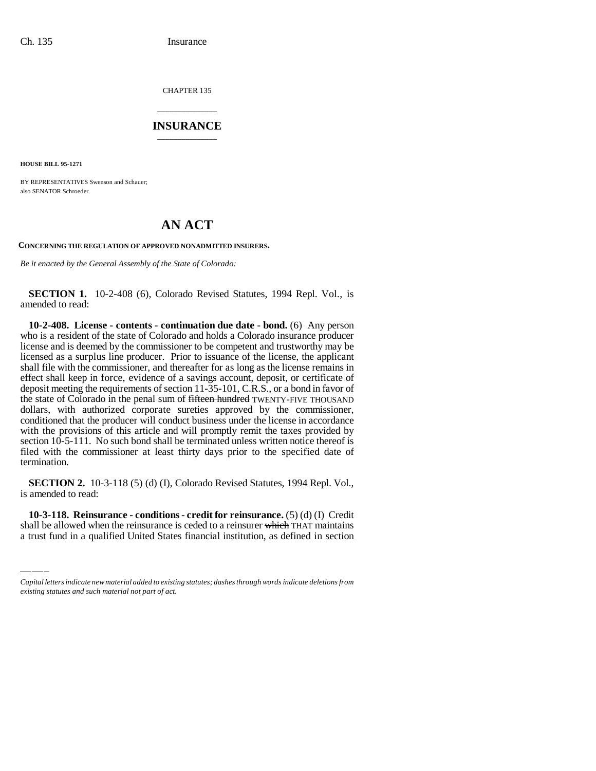CHAPTER 135

## \_\_\_\_\_\_\_\_\_\_\_\_\_\_\_ **INSURANCE** \_\_\_\_\_\_\_\_\_\_\_\_\_\_\_

**HOUSE BILL 95-1271**

BY REPRESENTATIVES Swenson and Schauer; also SENATOR Schroeder.

# **AN ACT**

**CONCERNING THE REGULATION OF APPROVED NONADMITTED INSURERS.**

*Be it enacted by the General Assembly of the State of Colorado:*

**SECTION 1.** 10-2-408 (6), Colorado Revised Statutes, 1994 Repl. Vol., is amended to read:

**10-2-408. License - contents - continuation due date - bond.** (6) Any person who is a resident of the state of Colorado and holds a Colorado insurance producer license and is deemed by the commissioner to be competent and trustworthy may be licensed as a surplus line producer. Prior to issuance of the license, the applicant shall file with the commissioner, and thereafter for as long as the license remains in effect shall keep in force, evidence of a savings account, deposit, or certificate of deposit meeting the requirements of section 11-35-101, C.R.S., or a bond in favor of the state of Colorado in the penal sum of fifteen hundred TWENTY-FIVE THOUSAND dollars, with authorized corporate sureties approved by the commissioner, conditioned that the producer will conduct business under the license in accordance with the provisions of this article and will promptly remit the taxes provided by section 10-5-111. No such bond shall be terminated unless written notice thereof is filed with the commissioner at least thirty days prior to the specified date of termination.

is amended to read: **SECTION 2.** 10-3-118 (5) (d) (I), Colorado Revised Statutes, 1994 Repl. Vol.,

**10-3-118. Reinsurance - conditions - credit for reinsurance.** (5) (d) (I) Credit shall be allowed when the reinsurance is ceded to a reinsurer which THAT maintains a trust fund in a qualified United States financial institution, as defined in section

*Capital letters indicate new material added to existing statutes; dashes through words indicate deletions from existing statutes and such material not part of act.*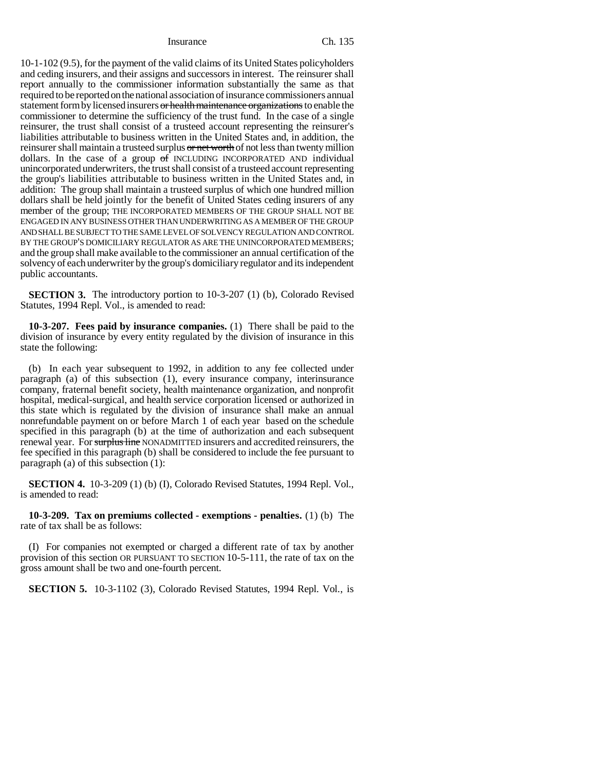Insurance Ch. 135

10-1-102 (9.5), for the payment of the valid claims of its United States policyholders and ceding insurers, and their assigns and successors in interest. The reinsurer shall report annually to the commissioner information substantially the same as that required to be reported on the national association of insurance commissioners annual statement form by licensed insurers or health maintenance organizations to enable the commissioner to determine the sufficiency of the trust fund. In the case of a single reinsurer, the trust shall consist of a trusteed account representing the reinsurer's liabilities attributable to business written in the United States and, in addition, the reinsurer shall maintain a trusteed surplus or net worth of not less than twenty million dollars. In the case of a group of INCLUDING INCORPORATED AND individual unincorporated underwriters, the trust shall consist of a trusteed account representing the group's liabilities attributable to business written in the United States and, in addition: The group shall maintain a trusteed surplus of which one hundred million dollars shall be held jointly for the benefit of United States ceding insurers of any member of the group; THE INCORPORATED MEMBERS OF THE GROUP SHALL NOT BE ENGAGED IN ANY BUSINESS OTHER THAN UNDERWRITING AS A MEMBER OF THE GROUP AND SHALL BE SUBJECT TO THE SAME LEVEL OF SOLVENCY REGULATION AND CONTROL BY THE GROUP'S DOMICILIARY REGULATOR AS ARE THE UNINCORPORATED MEMBERS; and the group shall make available to the commissioner an annual certification of the solvency of each underwriter by the group's domiciliary regulator and its independent public accountants.

**SECTION 3.** The introductory portion to 10-3-207 (1) (b), Colorado Revised Statutes, 1994 Repl. Vol., is amended to read:

**10-3-207. Fees paid by insurance companies.** (1) There shall be paid to the division of insurance by every entity regulated by the division of insurance in this state the following:

(b) In each year subsequent to 1992, in addition to any fee collected under paragraph (a) of this subsection (1), every insurance company, interinsurance company, fraternal benefit society, health maintenance organization, and nonprofit hospital, medical-surgical, and health service corporation licensed or authorized in this state which is regulated by the division of insurance shall make an annual nonrefundable payment on or before March 1 of each year based on the schedule specified in this paragraph (b) at the time of authorization and each subsequent renewal year. For surplus line NONADMITTED insurers and accredited reinsurers, the fee specified in this paragraph (b) shall be considered to include the fee pursuant to paragraph (a) of this subsection (1):

**SECTION 4.** 10-3-209 (1) (b) (I), Colorado Revised Statutes, 1994 Repl. Vol., is amended to read:

**10-3-209. Tax on premiums collected - exemptions - penalties.** (1) (b) The rate of tax shall be as follows:

(I) For companies not exempted or charged a different rate of tax by another provision of this section OR PURSUANT TO SECTION 10-5-111, the rate of tax on the gross amount shall be two and one-fourth percent.

**SECTION 5.** 10-3-1102 (3), Colorado Revised Statutes, 1994 Repl. Vol., is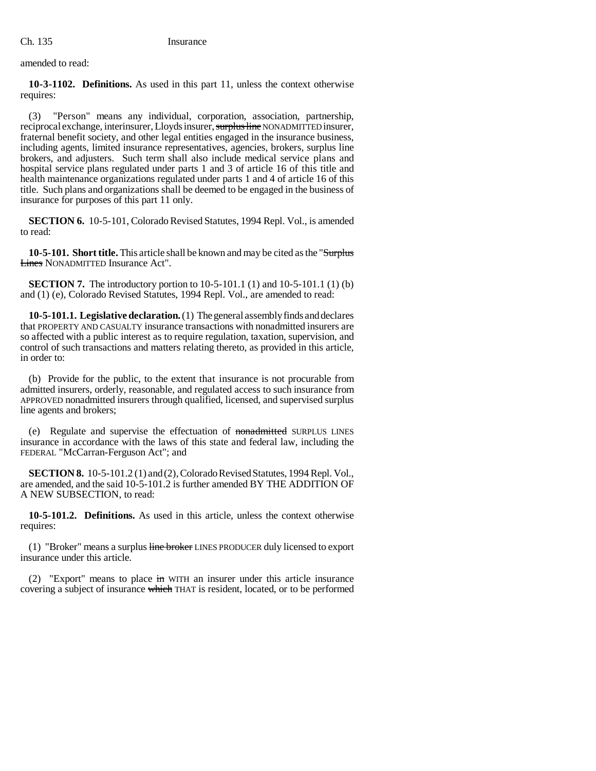amended to read:

**10-3-1102. Definitions.** As used in this part 11, unless the context otherwise requires:

(3) "Person" means any individual, corporation, association, partnership, reciprocal exchange, interinsurer, Lloyds insurer, surplus line NONADMITTED insurer, fraternal benefit society, and other legal entities engaged in the insurance business, including agents, limited insurance representatives, agencies, brokers, surplus line brokers, and adjusters. Such term shall also include medical service plans and hospital service plans regulated under parts 1 and 3 of article 16 of this title and health maintenance organizations regulated under parts 1 and 4 of article 16 of this title. Such plans and organizations shall be deemed to be engaged in the business of insurance for purposes of this part 11 only.

**SECTION 6.** 10-5-101, Colorado Revised Statutes, 1994 Repl. Vol., is amended to read:

**10-5-101. Short title.** This article shall be known and may be cited as the "Surplus Lines NONADMITTED Insurance Act".

**SECTION 7.** The introductory portion to 10-5-101.1 (1) and 10-5-101.1 (1) (b) and (1) (e), Colorado Revised Statutes, 1994 Repl. Vol., are amended to read:

**10-5-101.1. Legislative declaration.** (1) The general assembly finds and declares that PROPERTY AND CASUALTY insurance transactions with nonadmitted insurers are so affected with a public interest as to require regulation, taxation, supervision, and control of such transactions and matters relating thereto, as provided in this article, in order to:

(b) Provide for the public, to the extent that insurance is not procurable from admitted insurers, orderly, reasonable, and regulated access to such insurance from APPROVED nonadmitted insurers through qualified, licensed, and supervised surplus line agents and brokers;

(e) Regulate and supervise the effectuation of nonadmitted SURPLUS LINES insurance in accordance with the laws of this state and federal law, including the FEDERAL "McCarran-Ferguson Act"; and

**SECTION 8.** 10-5-101.2 (1) and (2), Colorado Revised Statutes, 1994 Repl. Vol., are amended, and the said 10-5-101.2 is further amended BY THE ADDITION OF A NEW SUBSECTION, to read:

**10-5-101.2. Definitions.** As used in this article, unless the context otherwise requires:

(1) "Broker" means a surplus line broker LINES PRODUCER duly licensed to export insurance under this article.

(2) "Export" means to place in WITH an insurer under this article insurance covering a subject of insurance which THAT is resident, located, or to be performed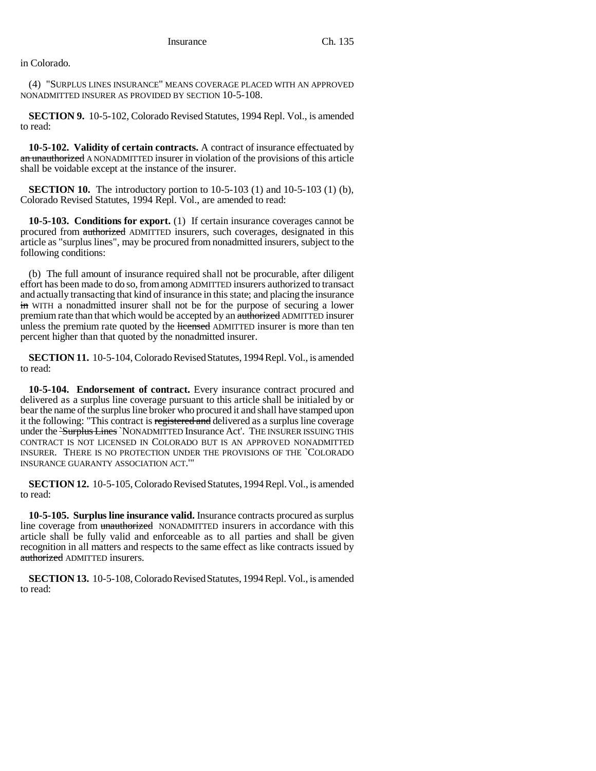in Colorado.

(4) "SURPLUS LINES INSURANCE" MEANS COVERAGE PLACED WITH AN APPROVED NONADMITTED INSURER AS PROVIDED BY SECTION 10-5-108.

**SECTION 9.** 10-5-102, Colorado Revised Statutes, 1994 Repl. Vol., is amended to read:

**10-5-102. Validity of certain contracts.** A contract of insurance effectuated by an unauthorized A NONADMITTED insurer in violation of the provisions of this article shall be voidable except at the instance of the insurer.

**SECTION 10.** The introductory portion to 10-5-103 (1) and 10-5-103 (1) (b), Colorado Revised Statutes, 1994 Repl. Vol., are amended to read:

**10-5-103. Conditions for export.** (1) If certain insurance coverages cannot be procured from authorized ADMITTED insurers, such coverages, designated in this article as "surplus lines", may be procured from nonadmitted insurers, subject to the following conditions:

(b) The full amount of insurance required shall not be procurable, after diligent effort has been made to do so, from among ADMITTED insurers authorized to transact and actually transacting that kind of insurance in this state; and placing the insurance in WITH a nonadmitted insurer shall not be for the purpose of securing a lower premium rate than that which would be accepted by an authorized ADMITTED insurer unless the premium rate quoted by the licensed ADMITTED insurer is more than ten percent higher than that quoted by the nonadmitted insurer.

**SECTION 11.** 10-5-104, Colorado Revised Statutes, 1994 Repl. Vol., is amended to read:

**10-5-104. Endorsement of contract.** Every insurance contract procured and delivered as a surplus line coverage pursuant to this article shall be initialed by or bear the name of the surplus line broker who procured it and shall have stamped upon it the following: "This contract is registered and delivered as a surplus line coverage under the <del>`Surplus Lines</del> `NONADMITTED Insurance Act'. THE INSURER ISSUING THIS CONTRACT IS NOT LICENSED IN COLORADO BUT IS AN APPROVED NONADMITTED INSURER. THERE IS NO PROTECTION UNDER THE PROVISIONS OF THE `COLORADO INSURANCE GUARANTY ASSOCIATION ACT.'"

**SECTION 12.** 10-5-105, Colorado Revised Statutes, 1994 Repl. Vol., is amended to read:

**10-5-105. Surplus line insurance valid.** Insurance contracts procured as surplus line coverage from unauthorized NONADMITTED insurers in accordance with this article shall be fully valid and enforceable as to all parties and shall be given recognition in all matters and respects to the same effect as like contracts issued by authorized ADMITTED insurers.

**SECTION 13.** 10-5-108, Colorado Revised Statutes, 1994 Repl. Vol., is amended to read: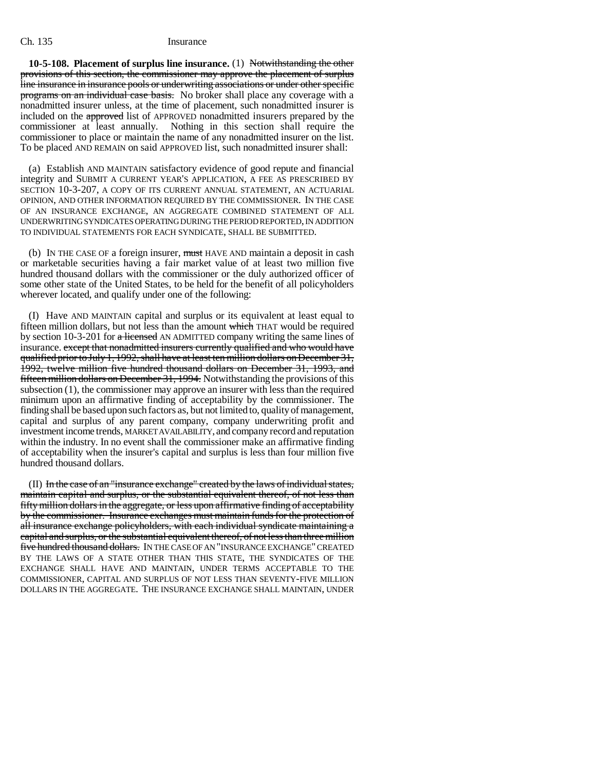## Ch. 135 Insurance

**10-5-108. Placement of surplus line insurance.** (1) Notwithstanding the other provisions of this section, the commissioner may approve the placement of surplus line insurance in insurance pools or underwriting associations or under other specific programs on an individual case basis. No broker shall place any coverage with a nonadmitted insurer unless, at the time of placement, such nonadmitted insurer is included on the approved list of APPROVED nonadmitted insurers prepared by the commissioner at least annually. Nothing in this section shall require the commissioner to place or maintain the name of any nonadmitted insurer on the list. To be placed AND REMAIN on said APPROVED list, such nonadmitted insurer shall:

(a) Establish AND MAINTAIN satisfactory evidence of good repute and financial integrity and SUBMIT A CURRENT YEAR'S APPLICATION, A FEE AS PRESCRIBED BY SECTION 10-3-207, A COPY OF ITS CURRENT ANNUAL STATEMENT, AN ACTUARIAL OPINION, AND OTHER INFORMATION REQUIRED BY THE COMMISSIONER. IN THE CASE OF AN INSURANCE EXCHANGE, AN AGGREGATE COMBINED STATEMENT OF ALL UNDERWRITING SYNDICATES OPERATING DURING THE PERIOD REPORTED, IN ADDITION TO INDIVIDUAL STATEMENTS FOR EACH SYNDICATE, SHALL BE SUBMITTED.

(b) IN THE CASE OF a foreign insurer, must HAVE AND maintain a deposit in cash or marketable securities having a fair market value of at least two million five hundred thousand dollars with the commissioner or the duly authorized officer of some other state of the United States, to be held for the benefit of all policyholders wherever located, and qualify under one of the following:

(I) Have AND MAINTAIN capital and surplus or its equivalent at least equal to fifteen million dollars, but not less than the amount which THAT would be required by section 10-3-201 for a licensed AN ADMITTED company writing the same lines of insurance. except that nonadmitted insurers currently qualified and who would have qualified prior to July 1, 1992, shall have at least ten million dollars on December 31, 1992, twelve million five hundred thousand dollars on December 31, 1993, and fifteen million dollars on December 31, 1994. Notwithstanding the provisions of this subsection (1), the commissioner may approve an insurer with less than the required minimum upon an affirmative finding of acceptability by the commissioner. The finding shall be based upon such factors as, but not limited to, quality of management, capital and surplus of any parent company, company underwriting profit and investment income trends, MARKET AVAILABILITY, and company record and reputation within the industry. In no event shall the commissioner make an affirmative finding of acceptability when the insurer's capital and surplus is less than four million five hundred thousand dollars.

(II) In the case of an "insurance exchange" created by the laws of individual states, maintain capital and surplus, or the substantial equivalent thereof, of not less than fifty million dollars in the aggregate, or less upon affirmative finding of acceptability by the commissioner. Insurance exchanges must maintain funds for the protection of all insurance exchange policyholders, with each individual syndicate maintaining a capital and surplus, or the substantial equivalent thereof, of not less than three million five hundred thousand dollars. IN THE CASE OF AN "INSURANCE EXCHANGE" CREATED BY THE LAWS OF A STATE OTHER THAN THIS STATE, THE SYNDICATES OF THE EXCHANGE SHALL HAVE AND MAINTAIN, UNDER TERMS ACCEPTABLE TO THE COMMISSIONER, CAPITAL AND SURPLUS OF NOT LESS THAN SEVENTY-FIVE MILLION DOLLARS IN THE AGGREGATE. THE INSURANCE EXCHANGE SHALL MAINTAIN, UNDER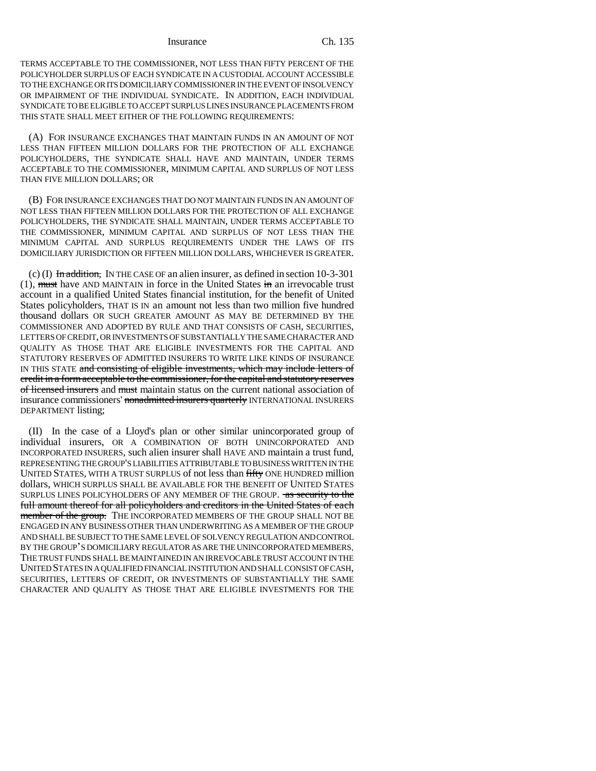#### Insurance Ch. 135

TERMS ACCEPTABLE TO THE COMMISSIONER, NOT LESS THAN FIFTY PERCENT OF THE POLICYHOLDER SURPLUS OF EACH SYNDICATE IN A CUSTODIAL ACCOUNT ACCESSIBLE TO THE EXCHANGE OR ITS DOMICILIARY COMMISSIONER IN THE EVENT OF INSOLVENCY OR IMPAIRMENT OF THE INDIVIDUAL SYNDICATE. IN ADDITION, EACH INDIVIDUAL SYNDICATE TO BE ELIGIBLE TO ACCEPT SURPLUS LINES INSURANCE PLACEMENTS FROM THIS STATE SHALL MEET EITHER OF THE FOLLOWING REQUIREMENTS:

(A) FOR INSURANCE EXCHANGES THAT MAINTAIN FUNDS IN AN AMOUNT OF NOT LESS THAN FIFTEEN MILLION DOLLARS FOR THE PROTECTION OF ALL EXCHANGE POLICYHOLDERS, THE SYNDICATE SHALL HAVE AND MAINTAIN, UNDER TERMS ACCEPTABLE TO THE COMMISSIONER, MINIMUM CAPITAL AND SURPLUS OF NOT LESS THAN FIVE MILLION DOLLARS; OR

(B) FOR INSURANCE EXCHANGES THAT DO NOT MAINTAIN FUNDS IN AN AMOUNT OF NOT LESS THAN FIFTEEN MILLION DOLLARS FOR THE PROTECTION OF ALL EXCHANGE POLICYHOLDERS, THE SYNDICATE SHALL MAINTAIN, UNDER TERMS ACCEPTABLE TO THE COMMISSIONER, MINIMUM CAPITAL AND SURPLUS OF NOT LESS THAN THE MINIMUM CAPITAL AND SURPLUS REQUIREMENTS UNDER THE LAWS OF ITS DOMICILIARY JURISDICTION OR FIFTEEN MILLION DOLLARS, WHICHEVER IS GREATER.

(c) (I) In addition, IN THE CASE OF an alien insurer, as defined in section 10-3-301  $(1)$ , must have AND MAINTAIN in force in the United States in an irrevocable trust account in a qualified United States financial institution, for the benefit of United States policyholders, THAT IS IN an amount not less than two million five hundred thousand dollars OR SUCH GREATER AMOUNT AS MAY BE DETERMINED BY THE COMMISSIONER AND ADOPTED BY RULE AND THAT CONSISTS OF CASH, SECURITIES, LETTERS OF CREDIT, OR INVESTMENTS OF SUBSTANTIALLY THE SAME CHARACTER AND QUALITY AS THOSE THAT ARE ELIGIBLE INVESTMENTS FOR THE CAPITAL AND STATUTORY RESERVES OF ADMITTED INSURERS TO WRITE LIKE KINDS OF INSURANCE IN THIS STATE and consisting of eligible investments, which may include letters of credit in a form acceptable to the commissioner, for the capital and statutory reserves of licensed insurers and must maintain status on the current national association of insurance commissioners' nonadmitted insurers quarterly INTERNATIONAL INSURERS DEPARTMENT listing;

(II) In the case of a Lloyd's plan or other similar unincorporated group of individual insurers, OR A COMBINATION OF BOTH UNINCORPORATED AND INCORPORATED INSURERS, such alien insurer shall HAVE AND maintain a trust fund, REPRESENTING THE GROUP'S LIABILITIES ATTRIBUTABLE TO BUSINESS WRITTEN IN THE UNITED STATES, WITH A TRUST SURPLUS of not less than fifty ONE HUNDRED million dollars, WHICH SURPLUS SHALL BE AVAILABLE FOR THE BENEFIT OF UNITED STATES SURPLUS LINES POLICYHOLDERS OF ANY MEMBER OF THE GROUP. **as security to the** full amount thereof for all policyholders and creditors in the United States of each member of the group. THE INCORPORATED MEMBERS OF THE GROUP SHALL NOT BE ENGAGED IN ANY BUSINESS OTHER THAN UNDERWRITING AS A MEMBER OF THE GROUP<br>AND SHALL BE SUBJECT TO THE SAME LEVEL OF SOLVENCY REGULATION AND CONTROL<br>BY THE GROUP'S DOMICILIARY REGULATOR AS ARE THE UNINCORPORATED MEMBERS. AND SHALL BE SUBJECT TO THE SAME LEVEL OF SOLVENCY REGULATION AND CONTROL THE TRUST FUNDS SHALL BE MAINTAINED IN AN IRREVOCABLE TRUST ACCOUNT IN THE UNITED STATES IN A QUALIFIED FINANCIAL INSTITUTION AND SHALL CONSIST OF CASH, SECURITIES, LETTERS OF CREDIT, OR INVESTMENTS OF SUBSTANTIALLY THE SAME CHARACTER AND QUALITY AS THOSE THAT ARE ELIGIBLE INVESTMENTS FOR THE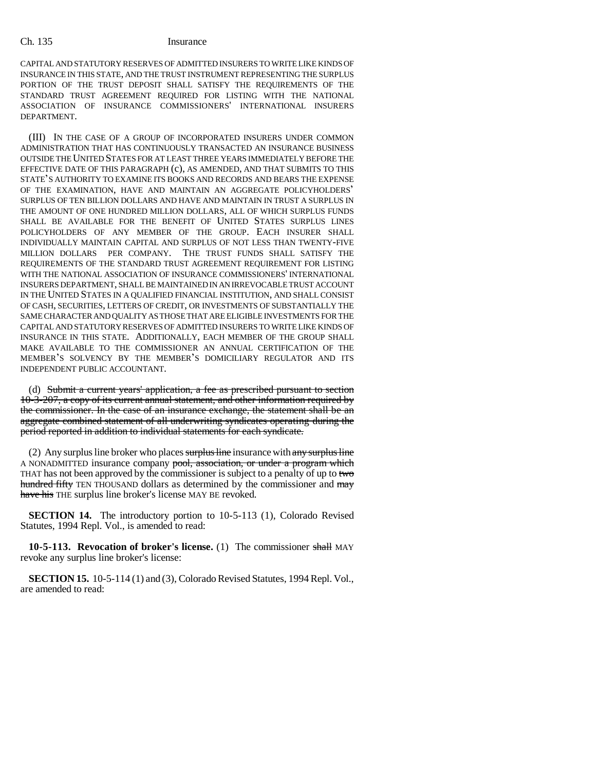## Ch. 135 Insurance

CAPITAL AND STATUTORY RESERVES OF ADMITTED INSURERS TO WRITE LIKE KINDS OF INSURANCE IN THIS STATE, AND THE TRUST INSTRUMENT REPRESENTING THE SURPLUS PORTION OF THE TRUST DEPOSIT SHALL SATISFY THE REQUIREMENTS OF THE STANDARD TRUST AGREEMENT REQUIRED FOR LISTING WITH THE NATIONAL ASSOCIATION OF INSURANCE COMMISSIONERS' INTERNATIONAL INSURERS DEPARTMENT.

(III) IN THE CASE OF A GROUP OF INCORPORATED INSURERS UNDER COMMON ADMINISTRATION THAT HAS CONTINUOUSLY TRANSACTED AN INSURANCE BUSINESS OUTSIDE THE UNITED STATES FOR AT LEAST THREE YEARS IMMEDIATELY BEFORE THE EFFECTIVE DATE OF THIS PARAGRAPH (c), AS AMENDED, AND THAT SUBMITS TO THIS OUTSIDE THE UNITED STATES FOR AT LEAST THREE YEARS IMMEDIATELY BEFORE THE<br>EFFECTIVE DATE OF THIS PARAGRAPH (c), AS AMENDED, AND THAT SUBMITS TO THIS<br>STATE'S AUTHORITY TO EXAMINE ITS BOOKS AND RECORDS AND BEARS THE EXPENSE EFFECTIVE DATE OF THIS PARAGRAPH (c), AS AMENDED, AND THAT SUBMITS TO THIS<br>STATE'S AUTHORITY TO EXAMINE ITS BOOKS AND RECORDS AND BEARS THE EXPENSE<br>OF THE EXAMINATION, HAVE AND MAINTAIN AN AGGREGATE POLICYHOLDERS' SURPLUS OF TEN BILLION DOLLARS AND HAVE AND MAINTAIN IN TRUST A SURPLUS IN THE AMOUNT OF ONE HUNDRED MILLION DOLLARS, ALL OF WHICH SURPLUS FUNDS SHALL BE AVAILABLE FOR THE BENEFIT OF UNITED STATES SURPLUS LINES POLICYHOLDERS OF ANY MEMBER OF THE GROUP. EACH INSURER SHALL INDIVIDUALLY MAINTAIN CAPITAL AND SURPLUS OF NOT LESS THAN TWENTY-FIVE MILLION DOLLARS PER COMPANY. THE TRUST FUNDS SHALL SATISFY THE REQUIREMENTS OF THE STANDARD TRUST AGREEMENT REQUIREMENT FOR LISTING WITH THE NATIONAL ASSOCIATION OF INSURANCE COMMISSIONERS' INTERNATIONAL INSURERS DEPARTMENT, SHALL BE MAINTAINED IN AN IRREVOCABLE TRUST ACCOUNT IN THE UNITED STATES IN A QUALIFIED FINANCIAL INSTITUTION, AND SHALL CONSIST OF CASH, SECURITIES, LETTERS OF CREDIT, OR INVESTMENTS OF SUBSTANTIALLY THE SAME CHARACTER AND QUALITY AS THOSE THAT ARE ELIGIBLE INVESTMENTS FOR THE CAPITAL AND STATUTORY RESERVES OF ADMITTED INSURERS TO WRITE LIKE KINDS OF INSURANCE IN THIS STATE. ADDITIONALLY, EACH MEMBER OF THE GROUP SHALL MAKE AVAILABLE TO THE COMMISSIONER AN ANNUAL CERTIFICATION OF THE INSURANCE IN THIS STATE. ADDITIONALLY, EACH MEMBER OF THE GROUP SHALL MAKE AVAILABLE TO THE COMMISSIONER AN ANNUAL CERTIFICATION OF THE MEMBER'S DOMICILIARY REGULATOR AND ITS INDEPENDENT PUBLIC ACCOUNTANT.

(d) Submit a current years' application, a fee as prescribed pursuant to section 10-3-207, a copy of its current annual statement, and other information required by the commissioner. In the case of an insurance exchange, the statement shall be an aggregate combined statement of all underwriting syndicates operating during the period reported in addition to individual statements for each syndicate.

(2) Any surplus line broker who places surplus line insurance with any surplus line A NONADMITTED insurance company pool, association, or under a program which THAT has not been approved by the commissioner is subject to a penalty of up to two hundred fifty TEN THOUSAND dollars as determined by the commissioner and may have his THE surplus line broker's license MAY BE revoked.

**SECTION 14.** The introductory portion to 10-5-113 (1), Colorado Revised Statutes, 1994 Repl. Vol., is amended to read:

**10-5-113. Revocation of broker's license.** (1) The commissioner shall MAY revoke any surplus line broker's license:

**SECTION 15.** 10-5-114 (1) and (3), Colorado Revised Statutes, 1994 Repl. Vol., are amended to read: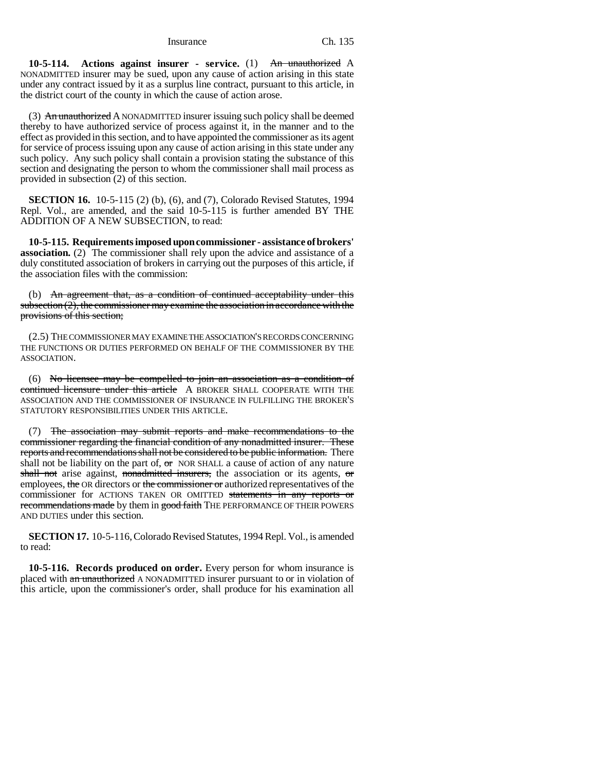**10-5-114. Actions against insurer - service.** (1) An unauthorized A NONADMITTED insurer may be sued, upon any cause of action arising in this state under any contract issued by it as a surplus line contract, pursuant to this article, in the district court of the county in which the cause of action arose.

(3) An unauthorized A NONADMITTED insurer issuing such policy shall be deemed thereby to have authorized service of process against it, in the manner and to the effect as provided in this section, and to have appointed the commissioner as its agent for service of process issuing upon any cause of action arising in this state under any such policy. Any such policy shall contain a provision stating the substance of this section and designating the person to whom the commissioner shall mail process as provided in subsection (2) of this section.

**SECTION 16.** 10-5-115 (2) (b), (6), and (7), Colorado Revised Statutes, 1994 Repl. Vol., are amended, and the said 10-5-115 is further amended BY THE ADDITION OF A NEW SUBSECTION, to read:

**10-5-115. Requirements imposed upon commissioner - assistance of brokers' association.** (2) The commissioner shall rely upon the advice and assistance of a duly constituted association of brokers in carrying out the purposes of this article, if the association files with the commission:

(b) An agreement that, as a condition of continued acceptability under this subsection  $(2)$ , the commissioner may examine the association in accordance with the provisions of this section;

(2.5) THE COMMISSIONER MAY EXAMINE THE ASSOCIATION'S RECORDS CONCERNING THE FUNCTIONS OR DUTIES PERFORMED ON BEHALF OF THE COMMISSIONER BY THE ASSOCIATION.

(6) No licensee may be compelled to join an association as a condition of continued licensure under this article A BROKER SHALL COOPERATE WITH THE ASSOCIATION AND THE COMMISSIONER OF INSURANCE IN FULFILLING THE BROKER'S STATUTORY RESPONSIBILITIES UNDER THIS ARTICLE.

(7) The association may submit reports and make recommendations to the commissioner regarding the financial condition of any nonadmitted insurer. These reports and recommendations shall not be considered to be public information. There shall not be liability on the part of,  $\sigma$  NOR SHALL a cause of action of any nature shall not arise against, nonadmitted insurers, the association or its agents, or employees, the OR directors or the commissioner or authorized representatives of the commissioner for ACTIONS TAKEN OR OMITTED statements in any reports or recommendations made by them in good faith THE PERFORMANCE OF THEIR POWERS AND DUTIES under this section.

**SECTION 17.** 10-5-116, Colorado Revised Statutes, 1994 Repl. Vol., is amended to read:

**10-5-116. Records produced on order.** Every person for whom insurance is placed with an unauthorized A NONADMITTED insurer pursuant to or in violation of this article, upon the commissioner's order, shall produce for his examination all